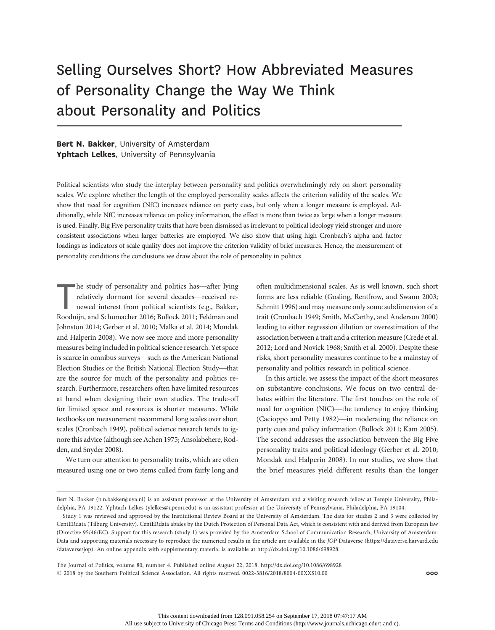# Selling Ourselves Short? How Abbreviated Measures of Personality Change the Way We Think about Personality and Politics

# Bert N. Bakker, University of Amsterdam Yphtach Lelkes, University of Pennsylvania

Political scientists who study the interplay between personality and politics overwhelmingly rely on short personality scales. We explore whether the length of the employed personality scales affects the criterion validity of the scales. We show that need for cognition (NfC) increases reliance on party cues, but only when a longer measure is employed. Additionally, while NfC increases reliance on policy information, the effect is more than twice as large when a longer measure is used. Finally, Big Five personality traits that have been dismissed as irrelevant to political ideology yield stronger and more consistent associations when larger batteries are employed. We also show that using high Cronbach's alpha and factor loadings as indicators of scale quality does not improve the criterion validity of brief measures. Hence, the measurement of personality conditions the conclusions we draw about the role of personality in politics.

he study of personality and politics has—after lying<br>relatively dormant for several decades—received re-<br>newed interest from political scientists (e.g., Bakker,<br>Rooduijn, and Schumacher 2016; Bullock 2011; Feldman and he study of personality and politics has—after lying relatively dormant for several decades—received renewed interest from political scientists (e.g., Bakker, Johnston 2014; Gerber et al. 2010; Malka et al. 2014; Mondak and Halperin 2008). We now see more and more personality measures being included in political science research. Yet space is scarce in omnibus surveys—such as the American National Election Studies or the British National Election Study—that are the source for much of the personality and politics research. Furthermore, researchers often have limited resources at hand when designing their own studies. The trade-off for limited space and resources is shorter measures. While textbooks on measurement recommend long scales over short scales (Cronbach 1949), political science research tends to ignore this advice (although see Achen 1975; Ansolabehere, Rodden, and Snyder 2008).

We turn our attention to personality traits, which are often measured using one or two items culled from fairly long and often multidimensional scales. As is well known, such short forms are less reliable (Gosling, Rentfrow, and Swann 2003; Schmitt 1996) and may measure only some subdimension of a trait (Cronbach 1949; Smith, McCarthy, and Anderson 2000) leading to either regression dilution or overestimation of the association between a trait and a criterion measure (Credé et al. 2012; Lord and Novick 1968; Smith et al. 2000). Despite these risks, short personality measures continue to be a mainstay of personality and politics research in political science.

In this article, we assess the impact of the short measures on substantive conclusions. We focus on two central debates within the literature. The first touches on the role of need for cognition (NfC)—the tendency to enjoy thinking (Cacioppo and Petty 1982)—in moderating the reliance on party cues and policy information (Bullock 2011; Kam 2005). The second addresses the association between the Big Five personality traits and political ideology (Gerber et al. 2010; Mondak and Halperin 2008). In our studies, we show that the brief measures yield different results than the longer

The Journal of Politics, volume 80, number 4. Published online August 22, 2018. http://dx.doi.org/10.1086/698928  $@$  2018 by the Southern Political Science Association. All rights reserved. 0022-3816/2018/8004-00XX\$10.00  $@$  000

Bert N. Bakker (b.n.bakker@uva.nl) is an assistant professor at the University of Amsterdam and a visiting research fellow at Temple University, Philadelphia, PA 19122. Yphtach Lelkes (ylelkes@upenn.edu) is an assistant professor at the University of Pennsylvania, Philadelphia, PA 19104.

Study 1 was reviewed and approved by the Institutional Review Board at the University of Amsterdam. The data for studies 2 and 3 were collected by CentERdata (Tilburg University). CentERdata abides by the Dutch Protection of Personal Data Act, which is consistent with and derived from European law (Directive 95/46/EC). Support for this research (study 1) was provided by the Amsterdam School of Communication Research, University of Amsterdam. Data and supporting materials necessary to reproduce the numerical results in the article are available in the JOP Dataverse (https://dataverse.harvard.edu /dataverse/jop). An online appendix with supplementary material is available at http://dx.doi.org/10.1086/698928.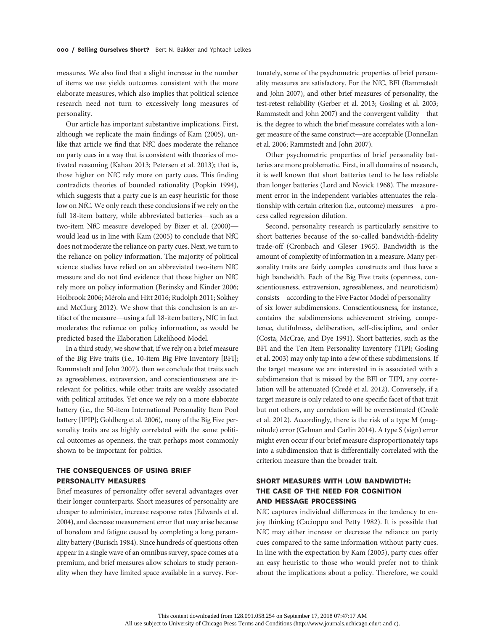measures. We also find that a slight increase in the number of items we use yields outcomes consistent with the more elaborate measures, which also implies that political science research need not turn to excessively long measures of personality.

Our article has important substantive implications. First, although we replicate the main findings of Kam (2005), unlike that article we find that NfC does moderate the reliance on party cues in a way that is consistent with theories of motivated reasoning (Kahan 2013; Petersen et al. 2013); that is, those higher on NfC rely more on party cues. This finding contradicts theories of bounded rationality (Popkin 1994), which suggests that a party cue is an easy heuristic for those low on NfC. We only reach these conclusions if we rely on the full 18-item battery, while abbreviated batteries—such as a two-item NfC measure developed by Bizer et al. (2000) would lead us in line with Kam (2005) to conclude that NfC does not moderate the reliance on party cues. Next, we turn to the reliance on policy information. The majority of political science studies have relied on an abbreviated two-item NfC measure and do not find evidence that those higher on NfC rely more on policy information (Berinsky and Kinder 2006; Holbrook 2006; Mérola and Hitt 2016; Rudolph 2011; Sokhey and McClurg 2012). We show that this conclusion is an artifact of the measure—using a full 18-item battery, NfC in fact moderates the reliance on policy information, as would be predicted based the Elaboration Likelihood Model.

In a third study, we show that, if we rely on a brief measure of the Big Five traits (i.e., 10-item Big Five Inventory [BFI]; Rammstedt and John 2007), then we conclude that traits such as agreeableness, extraversion, and conscientiousness are irrelevant for politics, while other traits are weakly associated with political attitudes. Yet once we rely on a more elaborate battery (i.e., the 50-item International Personality Item Pool battery [IPIP]; Goldberg et al. 2006), many of the Big Five personality traits are as highly correlated with the same political outcomes as openness, the trait perhaps most commonly shown to be important for politics.

# THE CONSEQUENCES OF USING BRIEF PERSONALITY MEASURES

Brief measures of personality offer several advantages over their longer counterparts. Short measures of personality are cheaper to administer, increase response rates (Edwards et al. 2004), and decrease measurement error that may arise because of boredom and fatigue caused by completing a long personality battery (Burisch 1984). Since hundreds of questions often appear in a single wave of an omnibus survey, space comes at a premium, and brief measures allow scholars to study personality when they have limited space available in a survey. For-

tunately, some of the psychometric properties of brief personality measures are satisfactory. For the NfC, BFI (Rammstedt and John 2007), and other brief measures of personality, the test-retest reliability (Gerber et al. 2013; Gosling et al. 2003; Rammstedt and John 2007) and the convergent validity—that is, the degree to which the brief measure correlates with a longer measure of the same construct—are acceptable (Donnellan et al. 2006; Rammstedt and John 2007).

Other psychometric properties of brief personality batteries are more problematic. First, in all domains of research, it is well known that short batteries tend to be less reliable than longer batteries (Lord and Novick 1968). The measurement error in the independent variables attenuates the relationship with certain criterion (i.e., outcome) measures—a process called regression dilution.

Second, personality research is particularly sensitive to short batteries because of the so-called bandwidth-fidelity trade-off (Cronbach and Gleser 1965). Bandwidth is the amount of complexity of information in a measure. Many personality traits are fairly complex constructs and thus have a high bandwidth. Each of the Big Five traits (openness, conscientiousness, extraversion, agreeableness, and neuroticism) consists—according to the Five Factor Model of personality of six lower subdimensions. Conscientiousness, for instance, contains the subdimensions achievement striving, competence, dutifulness, deliberation, self-discipline, and order (Costa, McCrae, and Dye 1991). Short batteries, such as the BFI and the Ten Item Personality Inventory (TIPI; Gosling et al. 2003) may only tap into a few of these subdimensions. If the target measure we are interested in is associated with a subdimension that is missed by the BFI or TIPI, any correlation will be attenuated (Credé et al. 2012). Conversely, if a target measure is only related to one specific facet of that trait but not others, any correlation will be overestimated (Credé et al. 2012). Accordingly, there is the risk of a type M (magnitude) error (Gelman and Carlin 2014). A type S (sign) error might even occur if our brief measure disproportionately taps into a subdimension that is differentially correlated with the criterion measure than the broader trait.

# SHORT MEASURES WITH LOW BANDWIDTH: THE CASE OF THE NEED FOR COGNITION AND MESSAGE PROCESSING

NfC captures individual differences in the tendency to enjoy thinking (Cacioppo and Petty 1982). It is possible that NfC may either increase or decrease the reliance on party cues compared to the same information without party cues. In line with the expectation by Kam (2005), party cues offer an easy heuristic to those who would prefer not to think about the implications about a policy. Therefore, we could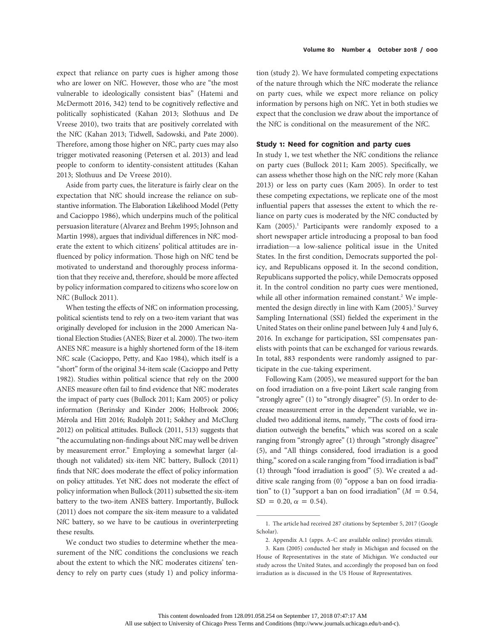expect that reliance on party cues is higher among those who are lower on NfC. However, those who are "the most vulnerable to ideologically consistent bias" (Hatemi and McDermott 2016, 342) tend to be cognitively reflective and politically sophisticated (Kahan 2013; Slothuus and De Vreese 2010), two traits that are positively correlated with the NfC (Kahan 2013; Tidwell, Sadowski, and Pate 2000). Therefore, among those higher on NfC, party cues may also trigger motivated reasoning (Petersen et al. 2013) and lead people to conform to identity-consistent attitudes (Kahan 2013; Slothuus and De Vreese 2010).

Aside from party cues, the literature is fairly clear on the expectation that NfC should increase the reliance on substantive information. The Elaboration Likelihood Model (Petty and Cacioppo 1986), which underpins much of the political persuasion literature (Alvarez and Brehm 1995; Johnson and Martin 1998), argues that individual differences in NfC moderate the extent to which citizens' political attitudes are influenced by policy information. Those high on NfC tend be motivated to understand and thoroughly process information that they receive and, therefore, should be more affected by policy information compared to citizens who score low on NfC (Bullock 2011).

When testing the effects of NfC on information processing, political scientists tend to rely on a two-item variant that was originally developed for inclusion in the 2000 American National Election Studies (ANES; Bizer et al. 2000). The two-item ANES NfC measure is a highly shortened form of the 18-item NfC scale (Cacioppo, Petty, and Kao 1984), which itself is a "short" form of the original 34-item scale (Cacioppo and Petty 1982). Studies within political science that rely on the 2000 ANES measure often fail to find evidence that NfC moderates the impact of party cues (Bullock 2011; Kam 2005) or policy information (Berinsky and Kinder 2006; Holbrook 2006; Mérola and Hitt 2016; Rudolph 2011; Sokhey and McClurg 2012) on political attitudes. Bullock (2011, 513) suggests that "the accumulating non-findings about NfC may well be driven by measurement error." Employing a somewhat larger (although not validated) six-item NfC battery, Bullock (2011) finds that NfC does moderate the effect of policy information on policy attitudes. Yet NfC does not moderate the effect of policy information when Bullock (2011) subsetted the six-item battery to the two-item ANES battery. Importantly, Bullock (2011) does not compare the six-item measure to a validated NfC battery, so we have to be cautious in overinterpreting these results.

We conduct two studies to determine whether the measurement of the NfC conditions the conclusions we reach about the extent to which the NfC moderates citizens' tendency to rely on party cues (study 1) and policy informa-

tion (study 2). We have formulated competing expectations of the nature through which the NfC moderate the reliance on party cues, while we expect more reliance on policy information by persons high on NfC. Yet in both studies we expect that the conclusion we draw about the importance of the NfC is conditional on the measurement of the NfC.

## Study 1: Need for cognition and party cues

In study 1, we test whether the NfC conditions the reliance on party cues (Bullock 2011; Kam 2005). Specifically, we can assess whether those high on the NfC rely more (Kahan 2013) or less on party cues (Kam 2005). In order to test these competing expectations, we replicate one of the most influential papers that assesses the extent to which the reliance on party cues is moderated by the NfC conducted by Kam  $(2005).$ <sup>1</sup> Participants were randomly exposed to a short newspaper article introducing a proposal to ban food irradiation—a low-salience political issue in the United States. In the first condition, Democrats supported the policy, and Republicans opposed it. In the second condition, Republicans supported the policy, while Democrats opposed it. In the control condition no party cues were mentioned, while all other information remained constant.<sup>2</sup> We implemented the design directly in line with Kam (2005).<sup>3</sup> Survey Sampling International (SSI) fielded the experiment in the United States on their online panel between July 4 and July 6, 2016. In exchange for participation, SSI compensates panelists with points that can be exchanged for various rewards. In total, 883 respondents were randomly assigned to participate in the cue-taking experiment.

Following Kam (2005), we measured support for the ban on food irradiation on a five-point Likert scale ranging from "strongly agree" (1) to "strongly disagree" (5). In order to decrease measurement error in the dependent variable, we included two additional items, namely, "The costs of food irradiation outweigh the benefits," which was scored on a scale ranging from "strongly agree" (1) through "strongly disagree" (5), and "All things considered, food irradiation is a good thing," scored on a scale ranging from "food irradiation is bad" (1) through "food irradiation is good" (5). We created a additive scale ranging from (0) "oppose a ban on food irradiation" to (1) "support a ban on food irradiation" ( $M = 0.54$ ,  $SD = 0.20, \alpha = 0.54$ .

<sup>1.</sup> The article had received 287 citations by September 5, 2017 (Google Scholar).

<sup>2.</sup> Appendix A.1 (apps. A–C are available online) provides stimuli.

<sup>3.</sup> Kam (2005) conducted her study in Michigan and focused on the House of Representatives in the state of Michigan. We conducted our study across the United States, and accordingly the proposed ban on food irradiation as is discussed in the US House of Representatives.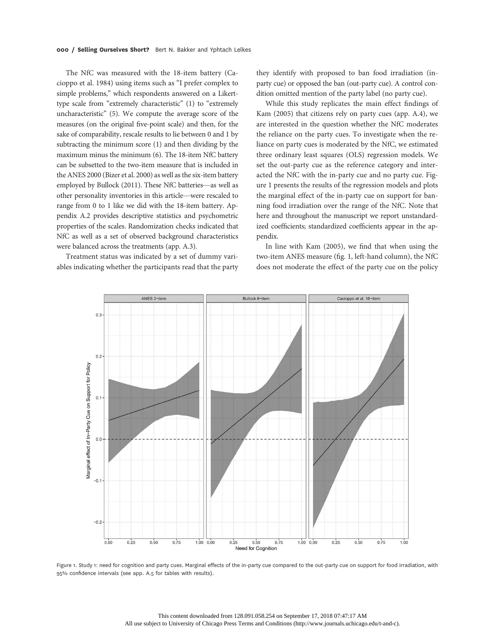The NfC was measured with the 18-item battery (Cacioppo et al. 1984) using items such as "I prefer complex to simple problems," which respondents answered on a Likerttype scale from "extremely characteristic" (1) to "extremely uncharacteristic" (5). We compute the average score of the measures (on the original five-point scale) and then, for the sake of comparability, rescale results to lie between 0 and 1 by subtracting the minimum score (1) and then dividing by the maximum minus the minimum (6). The 18-item NfC battery can be subsetted to the two-item measure that is included in the ANES 2000 (Bizer et al. 2000) as well as the six-item battery employed by Bullock (2011). These NfC batteries—as well as other personality inventories in this article—were rescaled to range from 0 to 1 like we did with the 18-item battery. Appendix A.2 provides descriptive statistics and psychometric properties of the scales. Randomization checks indicated that NfC as well as a set of observed background characteristics were balanced across the treatments (app. A.3).

Treatment status was indicated by a set of dummy variables indicating whether the participants read that the party they identify with proposed to ban food irradiation (inparty cue) or opposed the ban (out-party cue). A control condition omitted mention of the party label (no party cue).

While this study replicates the main effect findings of Kam (2005) that citizens rely on party cues (app. A.4), we are interested in the question whether the NfC moderates the reliance on the party cues. To investigate when the reliance on party cues is moderated by the NfC, we estimated three ordinary least squares (OLS) regression models. We set the out-party cue as the reference category and interacted the NfC with the in-party cue and no party cue. Figure 1 presents the results of the regression models and plots the marginal effect of the in-party cue on support for banning food irradiation over the range of the NfC. Note that here and throughout the manuscript we report unstandardized coefficients; standardized coefficients appear in the appendix.

In line with Kam (2005), we find that when using the two-item ANES measure (fig. 1, left-hand column), the NfC does not moderate the effect of the party cue on the policy



Figure 1. Study 1: need for cognition and party cues. Marginal effects of the in-party cue compared to the out-party cue on support for food irradiation, with 95% confidence intervals (see app. A.5 for tables with results).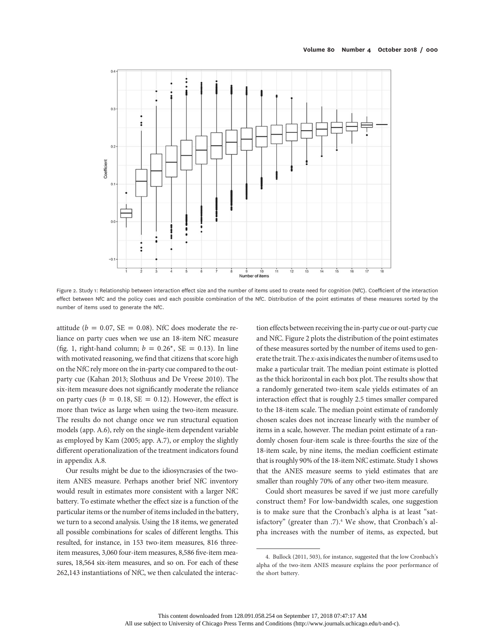

Figure 2. Study 1: Relationship between interaction effect size and the number of items used to create need for cognition (NfC). Coefficient of the interaction effect between NfC and the policy cues and each possible combination of the NfC. Distribution of the point estimates of these measures sorted by the number of items used to generate the NfC.

attitude ( $b = 0.07$ , SE = 0.08). NfC does moderate the reliance on party cues when we use an 18-item NfC measure (fig. 1, right-hand column;  $b = 0.26^*$ , SE = 0.13). In line with motivated reasoning, we find that citizens that score high on the NfC rely more on the in-party cue compared to the outparty cue (Kahan 2013; Slothuus and De Vreese 2010). The six-item measure does not significantly moderate the reliance on party cues ( $b = 0.18$ , SE = 0.12). However, the effect is more than twice as large when using the two-item measure. The results do not change once we run structural equation models (app. A.6), rely on the single-item dependent variable as employed by Kam (2005; app. A.7), or employ the slightly different operationalization of the treatment indicators found in appendix A.8.

Our results might be due to the idiosyncrasies of the twoitem ANES measure. Perhaps another brief NfC inventory would result in estimates more consistent with a larger NfC battery. To estimate whether the effect size is a function of the particular items or the number of items included in the battery, we turn to a second analysis. Using the 18 items, we generated all possible combinations for scales of different lengths. This resulted, for instance, in 153 two-item measures, 816 threeitem measures, 3,060 four-item measures, 8,586 five-item measures, 18,564 six-item measures, and so on. For each of these 262,143 instantiations of NfC, we then calculated the interac-

tion effects between receiving the in-party cue or out-party cue and NfC. Figure 2 plots the distribution of the point estimates of these measures sorted by the number of items used to generate the trait. The x-axis indicates the number of items used to make a particular trait. The median point estimate is plotted as the thick horizontal in each box plot. The results show that a randomly generated two-item scale yields estimates of an interaction effect that is roughly 2.5 times smaller compared to the 18-item scale. The median point estimate of randomly chosen scales does not increase linearly with the number of items in a scale, however. The median point estimate of a randomly chosen four-item scale is three-fourths the size of the 18-item scale, by nine items, the median coefficient estimate that is roughly 90% of the 18-item NfC estimate. Study 1 shows that the ANES measure seems to yield estimates that are smaller than roughly 70% of any other two-item measure.

Could short measures be saved if we just more carefully construct them? For low-bandwidth scales, one suggestion is to make sure that the Cronbach's alpha is at least "satisfactory" (greater than .7).<sup>4</sup> We show, that Cronbach's alpha increases with the number of items, as expected, but

<sup>4.</sup> Bullock (2011, 503), for instance, suggested that the low Cronbach's alpha of the two-item ANES measure explains the poor performance of the short battery.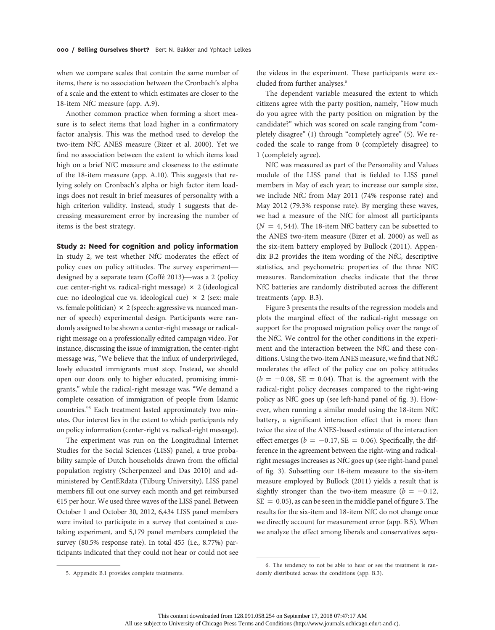when we compare scales that contain the same number of items, there is no association between the Cronbach's alpha of a scale and the extent to which estimates are closer to the 18-item NfC measure (app. A.9).

Another common practice when forming a short measure is to select items that load higher in a confirmatory factor analysis. This was the method used to develop the two-item NfC ANES measure (Bizer et al. 2000). Yet we find no association between the extent to which items load high on a brief NfC measure and closeness to the estimate of the 18-item measure (app. A.10). This suggests that relying solely on Cronbach's alpha or high factor item loadings does not result in brief measures of personality with a high criterion validity. Instead, study 1 suggests that decreasing measurement error by increasing the number of items is the best strategy.

## Study 2: Need for cognition and policy information

In study 2, we test whether NfC moderates the effect of policy cues on policy attitudes. The survey experiment designed by a separate team (Coffé 2013)—was a 2 (policy cue: center-right vs. radical-right message)  $\times$  2 (ideological cue: no ideological cue vs. ideological cue)  $\times$  2 (sex: male vs. female politician)  $\times$  2 (speech: aggressive vs. nuanced manner of speech) experimental design. Participants were randomly assigned to be shown a center-right message or radicalright message on a professionally edited campaign video. For instance, discussing the issue of immigration, the center-right message was, "We believe that the influx of underprivileged, lowly educated immigrants must stop. Instead, we should open our doors only to higher educated, promising immigrants," while the radical-right message was, "We demand a complete cessation of immigration of people from Islamic countries."<sup>5</sup> Each treatment lasted approximately two minutes. Our interest lies in the extent to which participants rely on policy information (center-right vs. radical-right message).

The experiment was run on the Longitudinal Internet Studies for the Social Sciences (LISS) panel, a true probability sample of Dutch households drawn from the official population registry (Scherpenzeel and Das 2010) and administered by CentERdata (Tilburg University). LISS panel members fill out one survey each month and get reimbursed €15 per hour. We used three waves of the LISS panel. Between October 1 and October 30, 2012, 6,434 LISS panel members were invited to participate in a survey that contained a cuetaking experiment, and 5,179 panel members completed the survey (80.5% response rate). In total 455 (i.e., 8.77%) participants indicated that they could not hear or could not see

the videos in the experiment. These participants were excluded from further analyses.<sup>6</sup>

The dependent variable measured the extent to which citizens agree with the party position, namely, "How much do you agree with the party position on migration by the candidate?" which was scored on scale ranging from "completely disagree" (1) through "completely agree" (5). We recoded the scale to range from 0 (completely disagree) to 1 (completely agree).

NfC was measured as part of the Personality and Values module of the LISS panel that is fielded to LISS panel members in May of each year; to increase our sample size, we include NfC from May 2011 (74% response rate) and May 2012 (79.3% response rate). By merging these waves, we had a measure of the NfC for almost all participants  $(N = 4, 544)$ . The 18-item NfC battery can be subsetted to the ANES two-item measure (Bizer et al. 2000) as well as the six-item battery employed by Bullock (2011). Appendix B.2 provides the item wording of the NfC, descriptive statistics, and psychometric properties of the three NfC measures. Randomization checks indicate that the three NfC batteries are randomly distributed across the different treatments (app. B.3).

Figure 3 presents the results of the regression models and plots the marginal effect of the radical-right message on support for the proposed migration policy over the range of the NfC. We control for the other conditions in the experiment and the interaction between the NfC and these conditions. Using the two-item ANES measure, we find that NfC moderates the effect of the policy cue on policy attitudes  $(b = -0.08, SE = 0.04)$ . That is, the agreement with the radical-right policy decreases compared to the right-wing policy as NfC goes up (see left-hand panel of fig. 3). However, when running a similar model using the 18-item NfC battery, a significant interaction effect that is more than twice the size of the ANES-based estimate of the interaction effect emerges ( $b = -0.17$ , SE = 0.06). Specifically, the difference in the agreement between the right-wing and radicalright messages increases as NfC goes up (see right-hand panel of fig. 3). Subsetting our 18-item measure to the six-item measure employed by Bullock (2011) yields a result that is slightly stronger than the two-item measure ( $b = -0.12$ ,  $SE = 0.05$ , as can be seen in the middle panel of figure 3. The results for the six-item and 18-item NfC do not change once we directly account for measurement error (app. B.5). When we analyze the effect among liberals and conservatives sepa-

<sup>5.</sup> Appendix B.1 provides complete treatments.

<sup>6.</sup> The tendency to not be able to hear or see the treatment is randomly distributed across the conditions (app. B.3).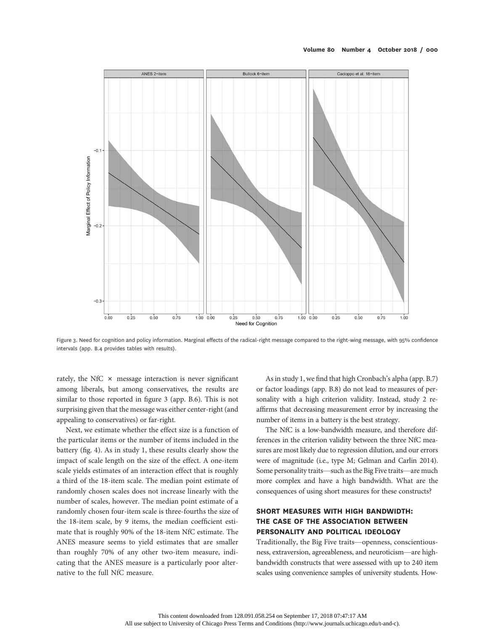

Figure 3. Need for cognition and policy information. Marginal effects of the radical-right message compared to the right-wing message, with 95% confidence intervals (app. B.4 provides tables with results).

rately, the NfC  $\times$  message interaction is never significant among liberals, but among conservatives, the results are similar to those reported in figure 3 (app. B.6). This is not surprising given that the message was either center-right (and appealing to conservatives) or far-right.

Next, we estimate whether the effect size is a function of the particular items or the number of items included in the battery (fig. 4). As in study 1, these results clearly show the impact of scale length on the size of the effect. A one-item scale yields estimates of an interaction effect that is roughly a third of the 18-item scale. The median point estimate of randomly chosen scales does not increase linearly with the number of scales, however. The median point estimate of a randomly chosen four-item scale is three-fourths the size of the 18-item scale, by 9 items, the median coefficient estimate that is roughly 90% of the 18-item NfC estimate. The ANES measure seems to yield estimates that are smaller than roughly 70% of any other two-item measure, indicating that the ANES measure is a particularly poor alternative to the full NfC measure.

As in study 1, we find that high Cronbach's alpha (app. B.7) or factor loadings (app. B.8) do not lead to measures of personality with a high criterion validity. Instead, study 2 reaffirms that decreasing measurement error by increasing the number of items in a battery is the best strategy.

The NfC is a low-bandwidth measure, and therefore differences in the criterion validity between the three NfC measures are most likely due to regression dilution, and our errors were of magnitude (i.e., type M; Gelman and Carlin 2014). Some personality traits—such as the Big Five traits—are much more complex and have a high bandwidth. What are the consequences of using short measures for these constructs?

# SHORT MEASURES WITH HIGH BANDWIDTH: THE CASE OF THE ASSOCIATION BETWEEN PERSONALITY AND POLITICAL IDEOLOGY

Traditionally, the Big Five traits—openness, conscientiousness, extraversion, agreeableness, and neuroticism—are highbandwidth constructs that were assessed with up to 240 item scales using convenience samples of university students. How-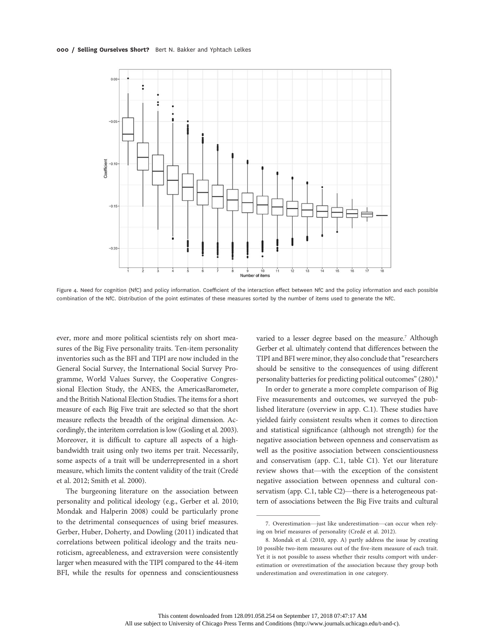#### 000 / Selling Ourselves Short? Bert N. Bakker and Yphtach Lelkes



Figure 4. Need for cognition (NfC) and policy information. Coefficient of the interaction effect between NfC and the policy information and each possible combination of the NfC. Distribution of the point estimates of these measures sorted by the number of items used to generate the NfC.

ever, more and more political scientists rely on short measures of the Big Five personality traits. Ten-item personality inventories such as the BFI and TIPI are now included in the General Social Survey, the International Social Survey Programme, World Values Survey, the Cooperative Congressional Election Study, the ANES, the AmericasBarometer, and the British National Election Studies. The items for a short measure of each Big Five trait are selected so that the short measure reflects the breadth of the original dimension. Accordingly, the interitem correlation is low (Gosling et al. 2003). Moreover, it is difficult to capture all aspects of a highbandwidth trait using only two items per trait. Necessarily, some aspects of a trait will be underrepresented in a short measure, which limits the content validity of the trait (Credé et al. 2012; Smith et al. 2000).

The burgeoning literature on the association between personality and political ideology (e.g., Gerber et al. 2010; Mondak and Halperin 2008) could be particularly prone to the detrimental consequences of using brief measures. Gerber, Huber, Doherty, and Dowling (2011) indicated that correlations between political ideology and the traits neuroticism, agreeableness, and extraversion were consistently larger when measured with the TIPI compared to the 44-item BFI, while the results for openness and conscientiousness

varied to a lesser degree based on the measure.<sup>7</sup> Although Gerber et al. ultimately contend that differences between the TIPI and BFI were minor, they also conclude that"researchers should be sensitive to the consequences of using different personality batteries for predicting political outcomes" (280).<sup>8</sup>

In order to generate a more complete comparison of Big Five measurements and outcomes, we surveyed the published literature (overview in app. C.1). These studies have yielded fairly consistent results when it comes to direction and statistical significance (although not strength) for the negative association between openness and conservatism as well as the positive association between conscientiousness and conservatism (app. C.1, table C1). Yet our literature review shows that—with the exception of the consistent negative association between openness and cultural conservatism (app. C.1, table C2)—there is a heterogeneous pattern of associations between the Big Five traits and cultural

<sup>7.</sup> Overestimation—just like underestimation—can occur when relying on brief measures of personality (Credé et al. 2012).

<sup>8.</sup> Mondak et al. (2010, app. A) partly address the issue by creating 10 possible two-item measures out of the five-item measure of each trait. Yet it is not possible to assess whether their results comport with underestimation or overestimation of the association because they group both underestimation and overestimation in one category.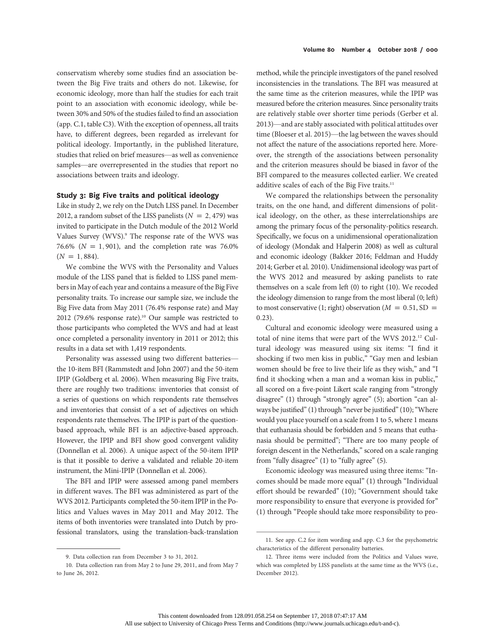conservatism whereby some studies find an association between the Big Five traits and others do not. Likewise, for economic ideology, more than half the studies for each trait point to an association with economic ideology, while between 30% and 50% of the studies failed to find an association (app. C.1, table C3). With the exception of openness, all traits have, to different degrees, been regarded as irrelevant for political ideology. Importantly, in the published literature, studies that relied on brief measures—as well as convenience samples—are overrepresented in the studies that report no associations between traits and ideology.

## Study 3: Big Five traits and political ideology

Like in study 2, we rely on the Dutch LISS panel. In December 2012, a random subset of the LISS panelists ( $N = 2,479$ ) was invited to participate in the Dutch module of the 2012 World Values Survey (WVS).<sup>9</sup> The response rate of the WVS was 76.6% ( $N = 1,901$ ), and the completion rate was 76.0%  $(N = 1, 884)$ .

We combine the WVS with the Personality and Values module of the LISS panel that is fielded to LISS panel members in May of each year and contains a measure of the Big Five personality traits. To increase our sample size, we include the Big Five data from May 2011 (76.4% response rate) and May 2012 (79.6% response rate).<sup>10</sup> Our sample was restricted to those participants who completed the WVS and had at least once completed a personality inventory in 2011 or 2012; this results in a data set with 1,419 respondents.

Personality was assessed using two different batteries the 10-item BFI (Rammstedt and John 2007) and the 50-item IPIP (Goldberg et al. 2006). When measuring Big Five traits, there are roughly two traditions: inventories that consist of a series of questions on which respondents rate themselves and inventories that consist of a set of adjectives on which respondents rate themselves. The IPIP is part of the questionbased approach, while BFI is an adjective-based approach. However, the IPIP and BFI show good convergent validity (Donnellan et al. 2006). A unique aspect of the 50-item IPIP is that it possible to derive a validated and reliable 20-item instrument, the Mini-IPIP (Donnellan et al. 2006).

The BFI and IPIP were assessed among panel members in different waves. The BFI was administered as part of the WVS 2012. Participants completed the 50-item IPIP in the Politics and Values waves in May 2011 and May 2012. The items of both inventories were translated into Dutch by professional translators, using the translation-back-translation

method, while the principle investigators of the panel resolved inconsistencies in the translations. The BFI was measured at the same time as the criterion measures, while the IPIP was measured before the criterion measures. Since personality traits are relatively stable over shorter time periods (Gerber et al. 2013)—and are stably associated with political attitudes over time (Bloeser et al. 2015)—the lag between the waves should not affect the nature of the associations reported here. Moreover, the strength of the associations between personality and the criterion measures should be biased in favor of the BFI compared to the measures collected earlier. We created additive scales of each of the Big Five traits.<sup>11</sup>

We compared the relationships between the personality traits, on the one hand, and different dimensions of political ideology, on the other, as these interrelationships are among the primary focus of the personality-politics research. Specifically, we focus on a unidimensional operationalization of ideology (Mondak and Halperin 2008) as well as cultural and economic ideology (Bakker 2016; Feldman and Huddy 2014; Gerber et al. 2010). Unidimensional ideology was part of the WVS 2012 and measured by asking panelists to rate themselves on a scale from left (0) to right (10). We recoded the ideology dimension to range from the most liberal (0; left) to most conservative (1; right) observation ( $M = 0.51$ , SD = 0:23).

Cultural and economic ideology were measured using a total of nine items that were part of the WVS 2012.12 Cultural ideology was measured using six items: "I find it shocking if two men kiss in public," "Gay men and lesbian women should be free to live their life as they wish," and "I find it shocking when a man and a woman kiss in public," all scored on a five-point Likert scale ranging from "strongly disagree" (1) through "strongly agree" (5); abortion "can always be justified" (1) through "never be justified" (10); "Where would you place yourself on a scale from 1 to 5, where 1 means that euthanasia should be forbidden and 5 means that euthanasia should be permitted"; "There are too many people of foreign descent in the Netherlands," scored on a scale ranging from "fully disagree" (1) to "fully agree" (5).

Economic ideology was measured using three items: "Incomes should be made more equal" (1) through "Individual effort should be rewarded" (10); "Government should take more responsibility to ensure that everyone is provided for" (1) through "People should take more responsibility to pro-

<sup>9.</sup> Data collection ran from December 3 to 31, 2012.

<sup>10.</sup> Data collection ran from May 2 to June 29, 2011, and from May 7 to June 26, 2012.

<sup>11.</sup> See app. C.2 for item wording and app. C.3 for the psychometric characteristics of the different personality batteries.

<sup>12.</sup> Three items were included from the Politics and Values wave, which was completed by LISS panelists at the same time as the WVS (i.e., December 2012).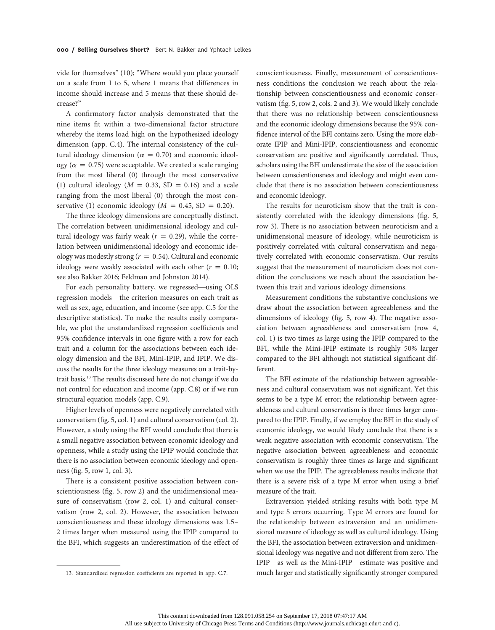vide for themselves" (10); "Where would you place yourself on a scale from 1 to 5, where 1 means that differences in income should increase and 5 means that these should decrease?"

A confirmatory factor analysis demonstrated that the nine items fit within a two-dimensional factor structure whereby the items load high on the hypothesized ideology dimension (app. C.4). The internal consistency of the cultural ideology dimension ( $\alpha = 0.70$ ) and economic ideology ( $\alpha = 0.75$ ) were acceptable. We created a scale ranging from the most liberal (0) through the most conservative (1) cultural ideology ( $M = 0.33$ , SD = 0.16) and a scale ranging from the most liberal (0) through the most conservative (1) economic ideology ( $M = 0.45$ , SD = 0.20).

The three ideology dimensions are conceptually distinct. The correlation between unidimensional ideology and cultural ideology was fairly weak ( $r = 0.29$ ), while the correlation between unidimensional ideology and economic ideology was modestly strong ( $r = 0.54$ ). Cultural and economic ideology were weakly associated with each other ( $r = 0.10$ ; see also Bakker 2016; Feldman and Johnston 2014).

For each personality battery, we regressed—using OLS regression models—the criterion measures on each trait as well as sex, age, education, and income (see app. C.5 for the descriptive statistics). To make the results easily comparable, we plot the unstandardized regression coefficients and 95% confidence intervals in one figure with a row for each trait and a column for the associations between each ideology dimension and the BFI, Mini-IPIP, and IPIP. We discuss the results for the three ideology measures on a trait-bytrait basis.13 The results discussed here do not change if we do not control for education and income (app. C.8) or if we run structural equation models (app. C.9).

Higher levels of openness were negatively correlated with conservatism (fig. 5, col. 1) and cultural conservatism (col. 2). However, a study using the BFI would conclude that there is a small negative association between economic ideology and openness, while a study using the IPIP would conclude that there is no association between economic ideology and openness (fig. 5, row 1, col. 3).

There is a consistent positive association between conscientiousness (fig. 5, row 2) and the unidimensional measure of conservatism (row 2, col. 1) and cultural conservatism (row 2, col. 2). However, the association between conscientiousness and these ideology dimensions was 1.5– 2 times larger when measured using the IPIP compared to the BFI, which suggests an underestimation of the effect of

conscientiousness. Finally, measurement of conscientiousness conditions the conclusion we reach about the relationship between conscientiousness and economic conservatism (fig. 5, row 2, cols. 2 and 3). We would likely conclude that there was no relationship between conscientiousness and the economic ideology dimensions because the 95% confidence interval of the BFI contains zero. Using the more elaborate IPIP and Mini-IPIP, conscientiousness and economic conservatism are positive and significantly correlated. Thus, scholars using the BFI underestimate the size of the association between conscientiousness and ideology and might even conclude that there is no association between conscientiousness and economic ideology.

The results for neuroticism show that the trait is consistently correlated with the ideology dimensions (fig. 5, row 3). There is no association between neuroticism and a unidimensional measure of ideology, while neuroticism is positively correlated with cultural conservatism and negatively correlated with economic conservatism. Our results suggest that the measurement of neuroticism does not condition the conclusions we reach about the association between this trait and various ideology dimensions.

Measurement conditions the substantive conclusions we draw about the association between agreeableness and the dimensions of ideology (fig. 5, row 4). The negative association between agreeableness and conservatism (row 4, col. 1) is two times as large using the IPIP compared to the BFI, while the Mini-IPIP estimate is roughly 50% larger compared to the BFI although not statistical significant different.

The BFI estimate of the relationship between agreeableness and cultural conservatism was not significant. Yet this seems to be a type M error; the relationship between agreeableness and cultural conservatism is three times larger compared to the IPIP. Finally, if we employ the BFI in the study of economic ideology, we would likely conclude that there is a weak negative association with economic conservatism. The negative association between agreeableness and economic conservatism is roughly three times as large and significant when we use the IPIP. The agreeableness results indicate that there is a severe risk of a type M error when using a brief measure of the trait.

Extraversion yielded striking results with both type M and type S errors occurring. Type M errors are found for the relationship between extraversion and an unidimensional measure of ideology as well as cultural ideology. Using the BFI, the association between extraversion and unidimensional ideology was negative and not different from zero. The IPIP—as well as the Mini-IPIP—estimate was positive and 13. Standardized regression coefficients are reported in app. C.7. much larger and statistically significantly stronger compared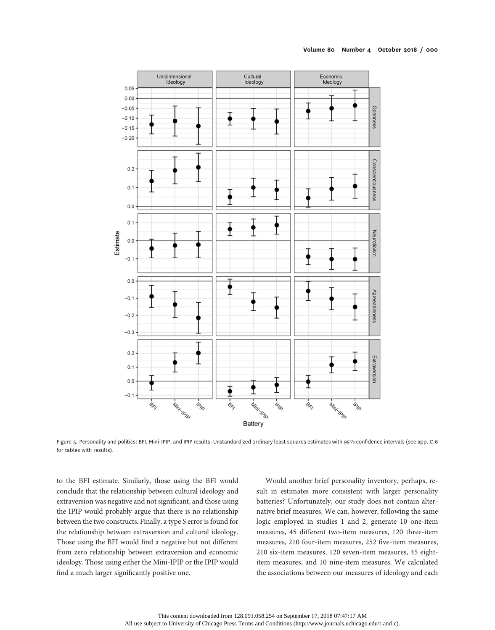

Figure 5. Personality and politics: BFI, Mini-IPIP, and IPIP results. Unstandardized ordinary least squares estimates with 95% confidence intervals (see app. C.6 for tables with results).

to the BFI estimate. Similarly, those using the BFI would conclude that the relationship between cultural ideology and extraversion was negative and not significant, and those using the IPIP would probably argue that there is no relationship between the two constructs. Finally, a type S error is found for the relationship between extraversion and cultural ideology. Those using the BFI would find a negative but not different from zero relationship between extraversion and economic ideology. Those using either the Mini-IPIP or the IPIP would find a much larger significantly positive one.

Would another brief personality inventory, perhaps, result in estimates more consistent with larger personality batteries? Unfortunately, our study does not contain alternative brief measures. We can, however, following the same logic employed in studies 1 and 2, generate 10 one-item measures, 45 different two-item measures, 120 three-item measures, 210 four-item measures, 252 five-item measures, 210 six-item measures, 120 seven-item measures, 45 eightitem measures, and 10 nine-item measures. We calculated the associations between our measures of ideology and each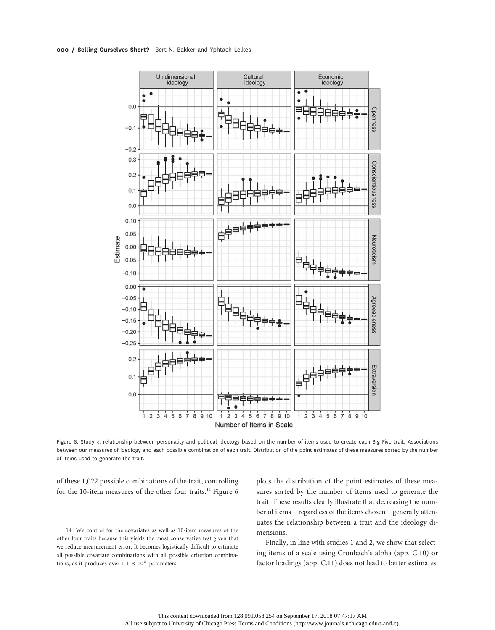

Figure 6. Study 3: relationship between personality and political ideology based on the number of items used to create each Big Five trait. Associations between our measures of ideology and each possible combination of each trait. Distribution of the point estimates of these measures sorted by the number of items used to generate the trait.

of these 1,022 possible combinations of the trait, controlling for the 10-item measures of the other four traits.<sup>14</sup> Figure 6 plots the distribution of the point estimates of these measures sorted by the number of items used to generate the trait. These results clearly illustrate that decreasing the number of items—regardless of the items chosen—generally attenuates the relationship between a trait and the ideology dimensions.

Finally, in line with studies 1 and 2, we show that selecting items of a scale using Cronbach's alpha (app. C.10) or factor loadings (app. C.11) does not lead to better estimates.

<sup>14.</sup> We control for the covariates as well as 10-item measures of the other four traits because this yields the most conservative test given that we reduce measurement error. It becomes logistically difficult to estimate all possible covariate combinations with all possible criterion combinations, as it produces over  $1.1 \times 10^{15}$  parameters.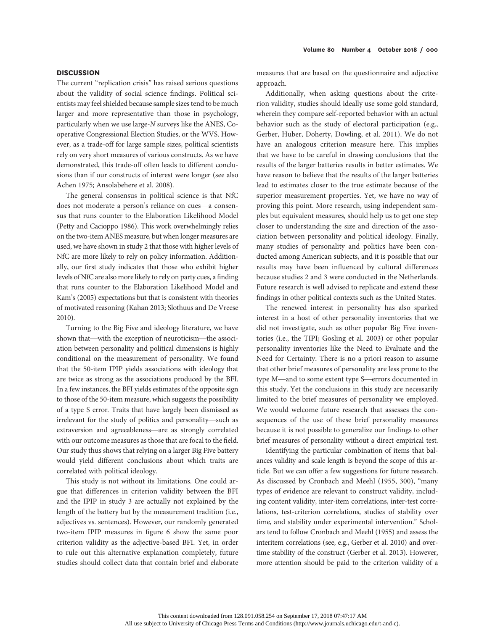## **DISCUSSION**

The current "replication crisis" has raised serious questions about the validity of social science findings. Political scientists may feel shielded because sample sizes tend to be much larger and more representative than those in psychology, particularly when we use large-N surveys like the ANES, Cooperative Congressional Election Studies, or the WVS. However, as a trade-off for large sample sizes, political scientists rely on very short measures of various constructs. As we have demonstrated, this trade-off often leads to different conclusions than if our constructs of interest were longer (see also Achen 1975; Ansolabehere et al. 2008).

The general consensus in political science is that NfC does not moderate a person's reliance on cues—a consensus that runs counter to the Elaboration Likelihood Model (Petty and Cacioppo 1986). This work overwhelmingly relies on the two-item ANES measure, but when longer measures are used, we have shown in study 2 that those with higher levels of NfC are more likely to rely on policy information. Additionally, our first study indicates that those who exhibit higher levels of NfC are also more likely to rely on party cues, a finding that runs counter to the Elaboration Likelihood Model and Kam's (2005) expectations but that is consistent with theories of motivated reasoning (Kahan 2013; Slothuus and De Vreese 2010).

Turning to the Big Five and ideology literature, we have shown that—with the exception of neuroticism—the association between personality and political dimensions is highly conditional on the measurement of personality. We found that the 50-item IPIP yields associations with ideology that are twice as strong as the associations produced by the BFI. In a few instances, the BFI yields estimates of the opposite sign to those of the 50-item measure, which suggests the possibility of a type S error. Traits that have largely been dismissed as irrelevant for the study of politics and personality—such as extraversion and agreeableness—are as strongly correlated with our outcome measures as those that are focal to the field. Our study thus shows that relying on a larger Big Five battery would yield different conclusions about which traits are correlated with political ideology.

This study is not without its limitations. One could argue that differences in criterion validity between the BFI and the IPIP in study 3 are actually not explained by the length of the battery but by the measurement tradition (i.e., adjectives vs. sentences). However, our randomly generated two-item IPIP measures in figure 6 show the same poor criterion validity as the adjective-based BFI. Yet, in order to rule out this alternative explanation completely, future studies should collect data that contain brief and elaborate

measures that are based on the questionnaire and adjective approach.

Additionally, when asking questions about the criterion validity, studies should ideally use some gold standard, wherein they compare self-reported behavior with an actual behavior such as the study of electoral participation (e.g., Gerber, Huber, Doherty, Dowling, et al. 2011). We do not have an analogous criterion measure here. This implies that we have to be careful in drawing conclusions that the results of the larger batteries results in better estimates. We have reason to believe that the results of the larger batteries lead to estimates closer to the true estimate because of the superior measurement properties. Yet, we have no way of proving this point. More research, using independent samples but equivalent measures, should help us to get one step closer to understanding the size and direction of the association between personality and political ideology. Finally, many studies of personality and politics have been conducted among American subjects, and it is possible that our results may have been influenced by cultural differences because studies 2 and 3 were conducted in the Netherlands. Future research is well advised to replicate and extend these findings in other political contexts such as the United States.

The renewed interest in personality has also sparked interest in a host of other personality inventories that we did not investigate, such as other popular Big Five inventories (i.e., the TIPI; Gosling et al. 2003) or other popular personality inventories like the Need to Evaluate and the Need for Certainty. There is no a priori reason to assume that other brief measures of personality are less prone to the type M—and to some extent type S—errors documented in this study. Yet the conclusions in this study are necessarily limited to the brief measures of personality we employed. We would welcome future research that assesses the consequences of the use of these brief personality measures because it is not possible to generalize our findings to other brief measures of personality without a direct empirical test.

Identifying the particular combination of items that balances validity and scale length is beyond the scope of this article. But we can offer a few suggestions for future research. As discussed by Cronbach and Meehl (1955, 300), "many types of evidence are relevant to construct validity, including content validity, inter-item correlations, inter-test correlations, test-criterion correlations, studies of stability over time, and stability under experimental intervention." Scholars tend to follow Cronbach and Meehl (1955) and assess the interitem correlations (see, e.g., Gerber et al. 2010) and overtime stability of the construct (Gerber et al. 2013). However, more attention should be paid to the criterion validity of a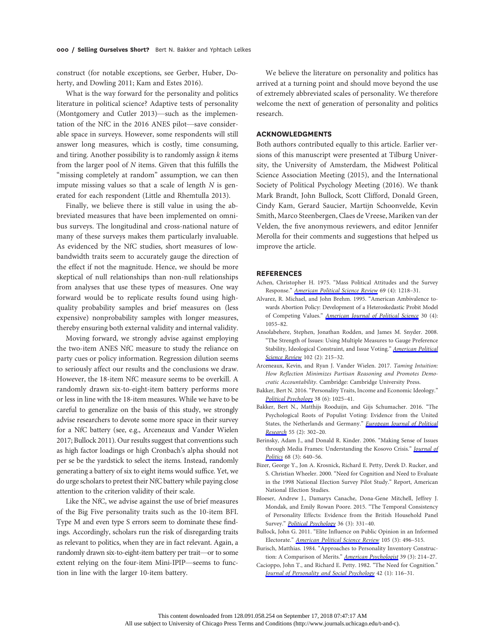construct (for notable exceptions, see Gerber, Huber, Doherty, and Dowling 2011; Kam and Estes 2016).

What is the way forward for the personality and politics literature in political science? Adaptive tests of personality (Montgomery and Cutler 2013)—such as the implementation of the NfC in the 2016 ANES pilot—save considerable space in surveys. However, some respondents will still answer long measures, which is costly, time consuming, and tiring. Another possibility is to randomly assign  $k$  items from the larger pool of  $N$  items. Given that this fulfills the "missing completely at random" assumption, we can then impute missing values so that a scale of length  $N$  is generated for each respondent (Little and Rhemtulla 2013).

Finally, we believe there is still value in using the abbreviated measures that have been implemented on omnibus surveys. The longitudinal and cross-national nature of many of these surveys makes them particularly invaluable. As evidenced by the NfC studies, short measures of lowbandwidth traits seem to accurately gauge the direction of the effect if not the magnitude. Hence, we should be more skeptical of null relationships than non-null relationships from analyses that use these types of measures. One way forward would be to replicate results found using highquality probability samples and brief measures on (less expensive) nonprobability samples with longer measures, thereby ensuring both external validity and internal validity.

Moving forward, we strongly advise against employing the two-item ANES NfC measure to study the reliance on party cues or policy information. Regression dilution seems to seriously affect our results and the conclusions we draw. However, the 18-item NfC measure seems to be overkill. A randomly drawn six-to-eight-item battery performs more or less in line with the 18-item measures. While we have to be careful to generalize on the basis of this study, we strongly advise researchers to devote some more space in their survey for a NfC battery (see, e.g., Arceneaux and Vander Wielen 2017; Bullock 2011). Our results suggest that conventions such as high factor loadings or high Cronbach's alpha should not per se be the yardstick to select the items. Instead, randomly generating a battery of six to eight items would suffice. Yet, we do urge scholars to pretest their NfC battery while paying close attention to the criterion validity of their scale.

Like the NfC, we advise against the use of brief measures of the Big Five personality traits such as the 10-item BFI. Type M and even type S errors seem to dominate these findings. Accordingly, scholars run the risk of disregarding traits as relevant to politics, when they are in fact relevant. Again, a randomly drawn six-to-eight-item battery per trait—or to some extent relying on the four-item Mini-IPIP—seems to function in line with the larger 10-item battery.

We believe the literature on personality and politics has arrived at a turning point and should move beyond the use of extremely abbreviated scales of personality. We therefore welcome the next of generation of personality and politics research.

## ACKNOWLEDGMENTS

Both authors contributed equally to this article. Earlier versions of this manuscript were presented at Tilburg University, the University of Amsterdam, the Midwest Political Science Association Meeting (2015), and the International Society of Political Psychology Meeting (2016). We thank Mark Brandt, John Bullock, Scott Clifford, Donald Green, Cindy Kam, Gerard Saucier, Martijn Schoonvelde, Kevin Smith, Marco Steenbergen, Claes de Vreese, Mariken van der Velden, the five anonymous reviewers, and editor Jennifer Merolla for their comments and suggestions that helped us improve the article.

#### **REFERENCES**

- Achen, Christopher H. 1975. "Mass Political Attitudes and the Survey Response." [American Political Science Review](https://www.journals.uchicago.edu/action/showLinks?doi=10.1086%2F698928&crossref=10.2307%2F1955282&citationId=p_13) 69 (4): 1218-31.
- Alvarez, R. Michael, and John Brehm. 1995. "American Ambivalence towards Abortion Policy: Development of a Heteroskedastic Probit Model of Competing Values." [American Journal of Political Science](https://www.journals.uchicago.edu/action/showLinks?doi=10.1086%2F698928&crossref=10.2307%2F2111669&citationId=p_14) 30 (4): 1055–82.
- Ansolabehere, Stephen, Jonathan Rodden, and James M. Snyder. 2008. "The Strength of Issues: Using Multiple Measures to Gauge Preference Stability, Ideological Constraint, and Issue Voting." [American Political](https://www.journals.uchicago.edu/action/showLinks?doi=10.1086%2F698928&crossref=10.1017%2FS0003055408080210&citationId=p_15) [Science Review](https://www.journals.uchicago.edu/action/showLinks?doi=10.1086%2F698928&crossref=10.1017%2FS0003055408080210&citationId=p_15) 102 (2): 215-32.
- Arceneaux, Kevin, and Ryan J. Vander Wielen. 2017. Taming Intuition: How Reflection Minimizes Partisan Reasoning and Promotes Democratic Accountability. Cambridge: Cambridge University Press.
- Bakker, Bert N. 2016. "Personality Traits, Income and Economic Ideology." [Political Psychology](https://www.journals.uchicago.edu/action/showLinks?doi=10.1086%2F698928&crossref=10.1111%2Fpops.12349&citationId=p_17) 38 (6): 1025-41.
- Bakker, Bert N., Matthijs Rooduijn, and Gijs Schumacher. 2016. "The Psychological Roots of Populist Voting: Evidence from the United States, the Netherlands and Germany." [European Journal of Political](https://www.journals.uchicago.edu/action/showLinks?doi=10.1086%2F698928&crossref=10.1111%2F1475-6765.12121&citationId=p_18) [Research](https://www.journals.uchicago.edu/action/showLinks?doi=10.1086%2F698928&crossref=10.1111%2F1475-6765.12121&citationId=p_18) 55 (2): 302-20.
- Berinsky, Adam J., and Donald R. Kinder. 2006. "Making Sense of Issues through Media Frames: Understanding the Kosovo Crisis." [Journal of](https://www.journals.uchicago.edu/action/showLinks?doi=10.1086%2F698928&system=10.1111%2Fj.1468-2508.2006.00451.x&citationId=p_19) [Politics](https://www.journals.uchicago.edu/action/showLinks?doi=10.1086%2F698928&system=10.1111%2Fj.1468-2508.2006.00451.x&citationId=p_19) 68 (3): 640-56.
- Bizer, George Y., Jon A. Krosnick, Richard E. Petty, Derek D. Rucker, and S. Christian Wheeler. 2000. "Need for Cognition and Need to Evaluate in the 1998 National Election Survey Pilot Study." Report, American National Election Studies.
- Bloeser, Andrew J., Damarys Canache, Dona-Gene Mitchell, Jeffrey J. Mondak, and Emily Rowan Poore. 2015. "The Temporal Consistency of Personality Effects: Evidence from the British Household Panel Survey." [Political Psychology](https://www.journals.uchicago.edu/action/showLinks?doi=10.1086%2F698928&crossref=10.1111%2Fpops.12067&citationId=p_21) 36 (3): 331-40.
- Bullock, John G. 2011. "Elite Influence on Public Opinion in an Informed Electorate." [American Political Science Review](https://www.journals.uchicago.edu/action/showLinks?doi=10.1086%2F698928&crossref=10.1017%2FS0003055411000165&citationId=p_22) 105 (3): 496-515.
- Burisch, Matthias. 1984. "Approaches to Personality Inventory Construc-tion: A Comparison of Merits." [American Psychologist](https://www.journals.uchicago.edu/action/showLinks?doi=10.1086%2F698928&crossref=10.1037%2F0003-066X.39.3.214&citationId=p_23) 39 (3): 214-27.
- Cacioppo, John T., and Richard E. Petty. 1982. "The Need for Cognition." [Journal of Personality and Social Psychology](https://www.journals.uchicago.edu/action/showLinks?doi=10.1086%2F698928&crossref=10.1037%2F0022-3514.42.1.116&citationId=p_24) 42 (1): 116–31.